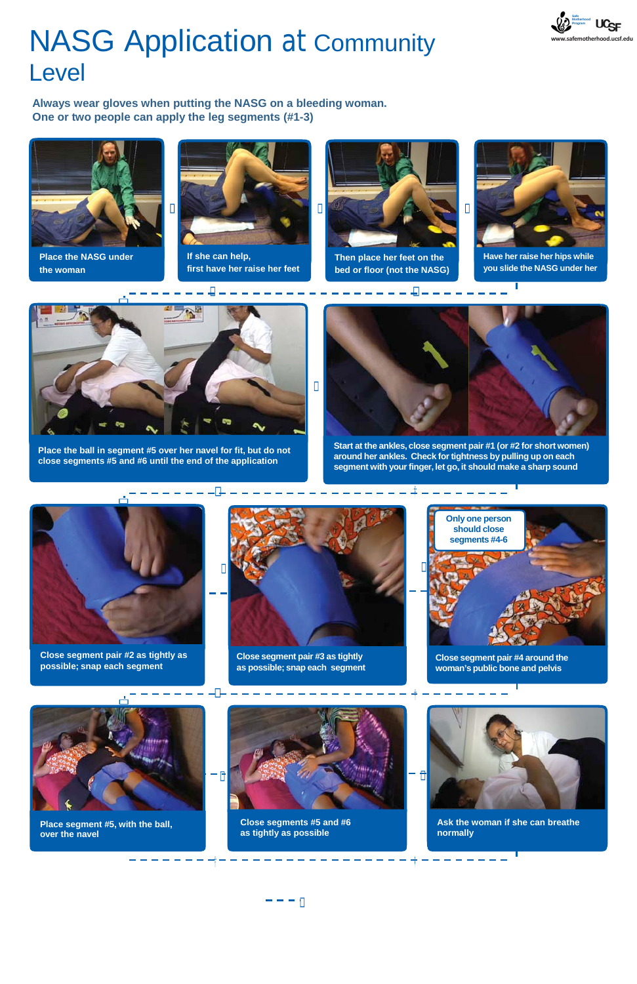

**Close segment pair #4 around the woman's public bone and pelvis**



**Place segment #5, with the ball, over the navel**



**Close segments #5 and #6 as tightly as possible**

 $- - - n$ 



**Ask the woman if she can breathe normally**

ال د

## NASG Application at Community Level



**Always wear gloves when putting the NASG on a bleeding woman. One or two people can apply the leg segments (#1-3)**



**Place the NASG under the woman**



**If she can help, first have her raise her feet**



**Then place her feet on the bed or floor (not the NASG)**

**Place the ball in segment #5 over her navel for fit, but do not close segments #5 and #6 until the end of the application**

ц

U



**Close segment pair #2 as tightly as possible; snap each segment**

 $\Box$ 



**Start at the ankles, close segment pair #1 (or #2 for short women) around her ankles. Check fortightness by pulling up on each segment with yourfinger, let go, it should make a sharp sound**



**Close segment pair #3 as tightly as possible; snap each segment**



**Have her raise her hips while you slide the NASG under her**